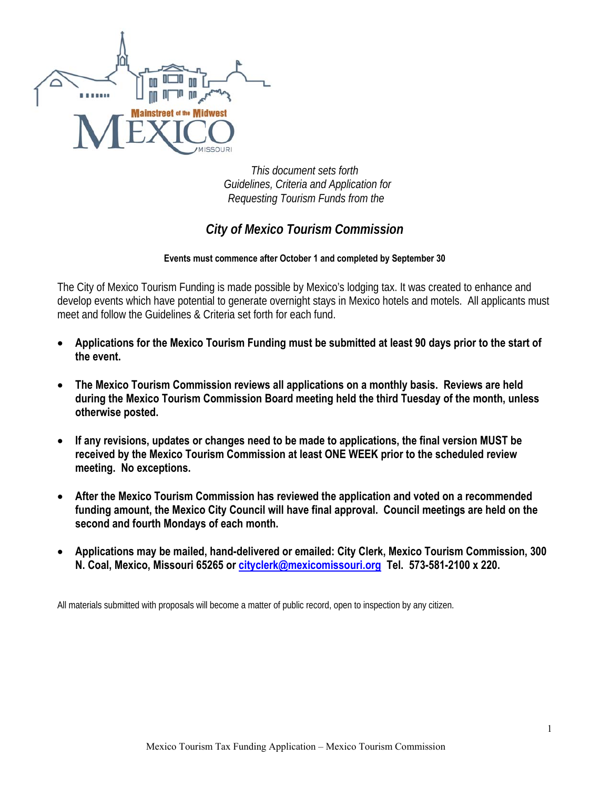

*This document sets forth Guidelines, Criteria and Application for Requesting Tourism Funds from the* 

# *City of Mexico Tourism Commission*

### **Events must commence after October 1 and completed by September 30**

The City of Mexico Tourism Funding is made possible by Mexico's lodging tax. It was created to enhance and develop events which have potential to generate overnight stays in Mexico hotels and motels. All applicants must meet and follow the Guidelines & Criteria set forth for each fund.

- **Applications for the Mexico Tourism Funding must be submitted at least 90 days prior to the start of the event.**
- **The Mexico Tourism Commission reviews all applications on a monthly basis. Reviews are held during the Mexico Tourism Commission Board meeting held the third Tuesday of the month, unless otherwise posted.**
- **If any revisions, updates or changes need to be made to applications, the final version MUST be received by the Mexico Tourism Commission at least ONE WEEK prior to the scheduled review meeting. No exceptions.**
- **After the Mexico Tourism Commission has reviewed the application and voted on a recommended funding amount, the Mexico City Council will have final approval. Council meetings are held on the second and fourth Mondays of each month.**
- **Applications may be mailed, hand-delivered or emailed: City Clerk, Mexico Tourism Commission, 300 N. Coal, Mexico, Missouri 65265 or cityclerk@mexicomissouri.org Tel. 573-581-2100 x 220.**

All materials submitted with proposals will become a matter of public record, open to inspection by any citizen.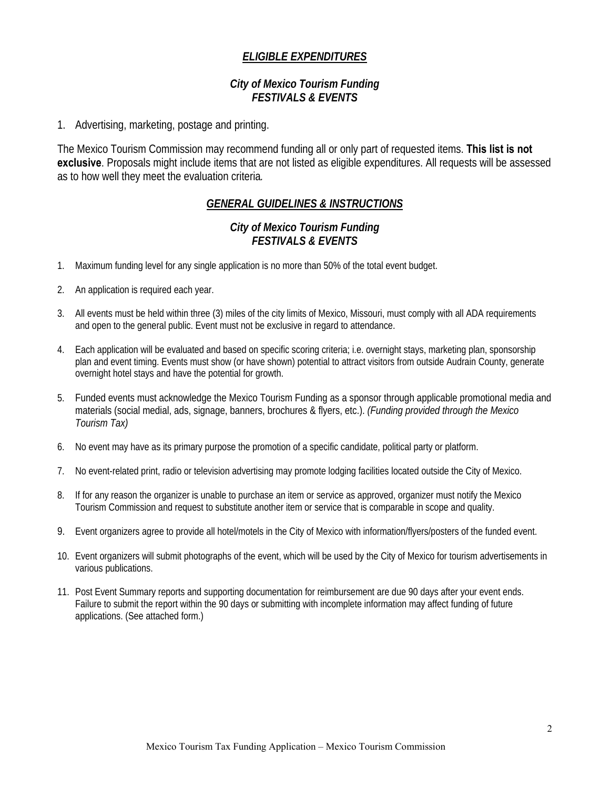### *ELIGIBLE EXPENDITURES*

### *City of Mexico Tourism Funding FESTIVALS & EVENTS*

1. Advertising, marketing, postage and printing.

The Mexico Tourism Commission may recommend funding all or only part of requested items. **This list is not exclusive**. Proposals might include items that are not listed as eligible expenditures. All requests will be assessed as to how well they meet the evaluation criteria*.* 

## *GENERAL GUIDELINES & INSTRUCTIONS*

### *City of Mexico Tourism Funding FESTIVALS & EVENTS*

- 1. Maximum funding level for any single application is no more than 50% of the total event budget.
- 2. An application is required each year.
- 3. All events must be held within three (3) miles of the city limits of Mexico, Missouri, must comply with all ADA requirements and open to the general public. Event must not be exclusive in regard to attendance.
- 4. Each application will be evaluated and based on specific scoring criteria; i.e. overnight stays, marketing plan, sponsorship plan and event timing. Events must show (or have shown) potential to attract visitors from outside Audrain County, generate overnight hotel stays and have the potential for growth.
- 5. Funded events must acknowledge the Mexico Tourism Funding as a sponsor through applicable promotional media and materials (social medial, ads, signage, banners, brochures & flyers, etc.). *(Funding provided through the Mexico Tourism Tax)*
- 6. No event may have as its primary purpose the promotion of a specific candidate, political party or platform.
- 7. No event-related print, radio or television advertising may promote lodging facilities located outside the City of Mexico.
- 8. If for any reason the organizer is unable to purchase an item or service as approved, organizer must notify the Mexico Tourism Commission and request to substitute another item or service that is comparable in scope and quality.
- 9. Event organizers agree to provide all hotel/motels in the City of Mexico with information/flyers/posters of the funded event.
- 10. Event organizers will submit photographs of the event, which will be used by the City of Mexico for tourism advertisements in various publications.
- 11. Post Event Summary reports and supporting documentation for reimbursement are due 90 days after your event ends. Failure to submit the report within the 90 days or submitting with incomplete information may affect funding of future applications. (See attached form.)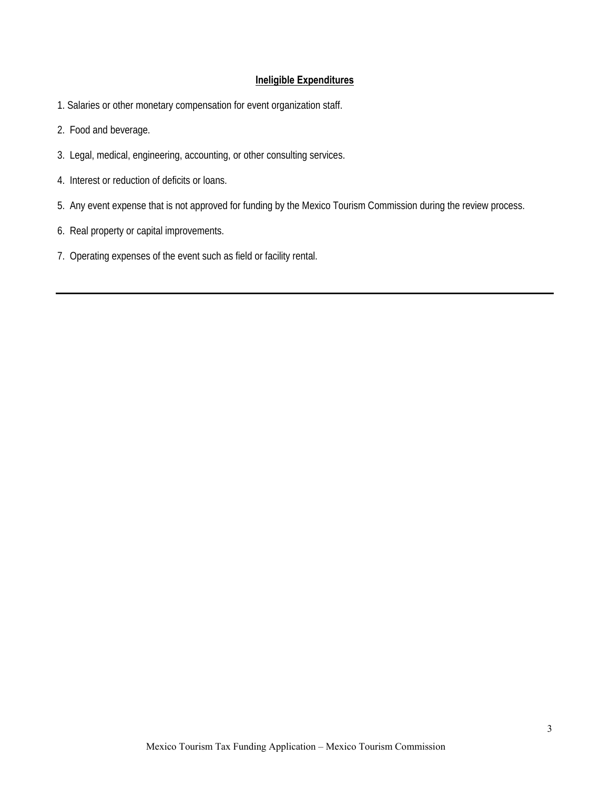#### **Ineligible Expenditures**

- 1. Salaries or other monetary compensation for event organization staff.
- 2. Food and beverage.
- 3. Legal, medical, engineering, accounting, or other consulting services.
- 4. Interest or reduction of deficits or loans.
- 5. Any event expense that is not approved for funding by the Mexico Tourism Commission during the review process.
- 6. Real property or capital improvements.
- 7. Operating expenses of the event such as field or facility rental.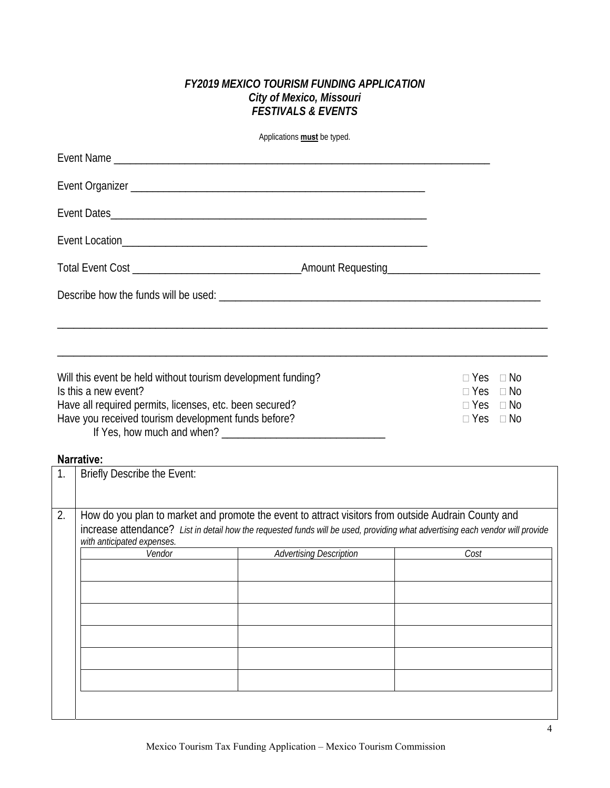### *FY2019 MEXICO TOURISM FUNDING APPLICATION City of Mexico, Missouri FESTIVALS & EVENTS*

Applications **must** be typed.

| Event Name                                                                           |                      |                                              |  |
|--------------------------------------------------------------------------------------|----------------------|----------------------------------------------|--|
|                                                                                      |                      |                                              |  |
|                                                                                      |                      |                                              |  |
|                                                                                      |                      |                                              |  |
|                                                                                      |                      |                                              |  |
|                                                                                      |                      |                                              |  |
|                                                                                      |                      |                                              |  |
|                                                                                      |                      |                                              |  |
| Will this event be held without tourism development funding?<br>Is this a new event? |                      | $\Box$ Yes $\Box$ No<br>$\Box$ Yes $\Box$ No |  |
| Have all required permits, licenses, etc. been secured?                              |                      | $\Box$ Yes $\Box$ No                         |  |
| Have you received tourism development funds before?                                  | $\Box$ Yes $\Box$ No |                                              |  |

If Yes, how much and when? \_\_\_\_\_\_\_\_\_\_\_\_\_\_\_\_\_\_\_\_\_\_\_\_\_\_\_\_\_\_

### **Narrative:**

| 1. | Briefly Describe the Event: |                                                                                                                                                                                                                                      |      |  |
|----|-----------------------------|--------------------------------------------------------------------------------------------------------------------------------------------------------------------------------------------------------------------------------------|------|--|
| 2. | with anticipated expenses.  | How do you plan to market and promote the event to attract visitors from outside Audrain County and<br>increase attendance? List in detail how the requested funds will be used, providing what advertising each vendor will provide |      |  |
|    | Vendor                      | <b>Advertising Description</b>                                                                                                                                                                                                       | Cost |  |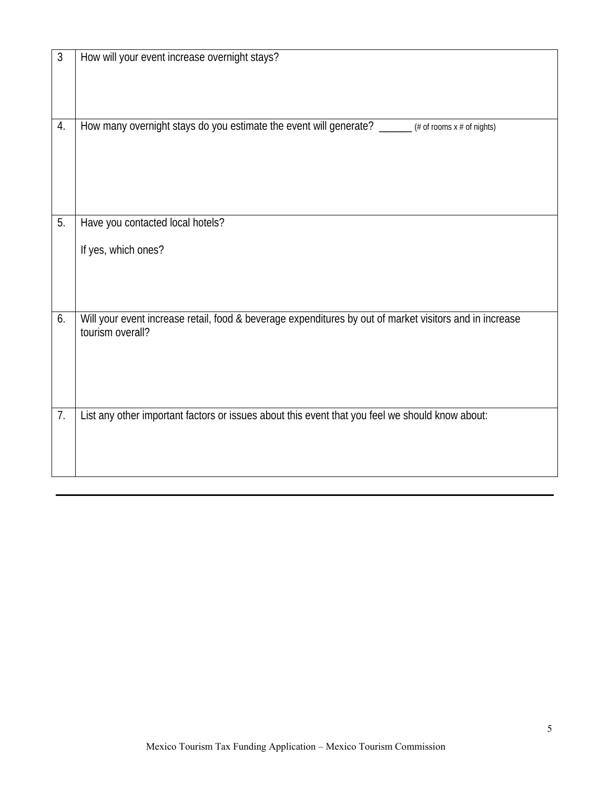| 3  | How will your event increase overnight stays?                                                           |
|----|---------------------------------------------------------------------------------------------------------|
|    |                                                                                                         |
|    |                                                                                                         |
|    |                                                                                                         |
|    |                                                                                                         |
| 4. | How many overnight stays do you estimate the event will generate? _____ (# of rooms x # of nights)      |
|    |                                                                                                         |
|    |                                                                                                         |
|    |                                                                                                         |
|    |                                                                                                         |
|    |                                                                                                         |
| 5. | Have you contacted local hotels?                                                                        |
|    |                                                                                                         |
|    | If yes, which ones?                                                                                     |
|    |                                                                                                         |
|    |                                                                                                         |
|    |                                                                                                         |
| 6. | Will your event increase retail, food & beverage expenditures by out of market visitors and in increase |
|    | tourism overall?                                                                                        |
|    |                                                                                                         |
|    |                                                                                                         |
|    |                                                                                                         |
|    |                                                                                                         |
| 7. | List any other important factors or issues about this event that you feel we should know about:         |
|    |                                                                                                         |
|    |                                                                                                         |
|    |                                                                                                         |
|    |                                                                                                         |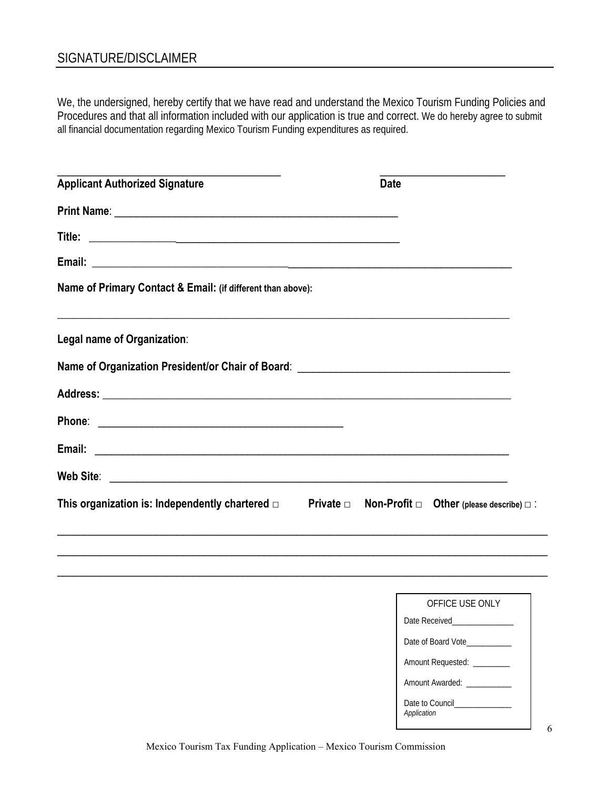## SIGNATURE/DISCLAIMER

We, the undersigned, hereby certify that we have read and understand the Mexico Tourism Funding Policies and Procedures and that all information included with our application is true and correct. We do hereby agree to submit all financial documentation regarding Mexico Tourism Funding expenditures as required.

| <b>Applicant Authorized Signature</b>                                                                                  | <b>Date</b>                                  |
|------------------------------------------------------------------------------------------------------------------------|----------------------------------------------|
|                                                                                                                        |                                              |
|                                                                                                                        |                                              |
|                                                                                                                        |                                              |
| Name of Primary Contact & Email: (if different than above):                                                            |                                              |
| ,我们也不能在这里,我们也不能在这里,我们也不能在这里,我们也不能在这里,我们也不能会不能在这里。""我们,我们也不能会不能会不能会不能会不能会不能会不能会不能<br>Legal name of Organization:        |                                              |
| Name of Organization President/or Chair of Board: _______________________________                                      |                                              |
|                                                                                                                        |                                              |
|                                                                                                                        |                                              |
|                                                                                                                        |                                              |
|                                                                                                                        |                                              |
| This organization is: Independently chartered $\Box$ Private $\Box$ Non-Profit $\Box$ Other (please describe) $\Box$ : |                                              |
|                                                                                                                        |                                              |
|                                                                                                                        |                                              |
|                                                                                                                        |                                              |
|                                                                                                                        | OFFICE USE ONLY                              |
|                                                                                                                        |                                              |
|                                                                                                                        | Date of Board Vote__________                 |
|                                                                                                                        | Amount Requested: _________                  |
|                                                                                                                        | Amount Awarded: ___________                  |
|                                                                                                                        | Date to Council______________<br>Application |